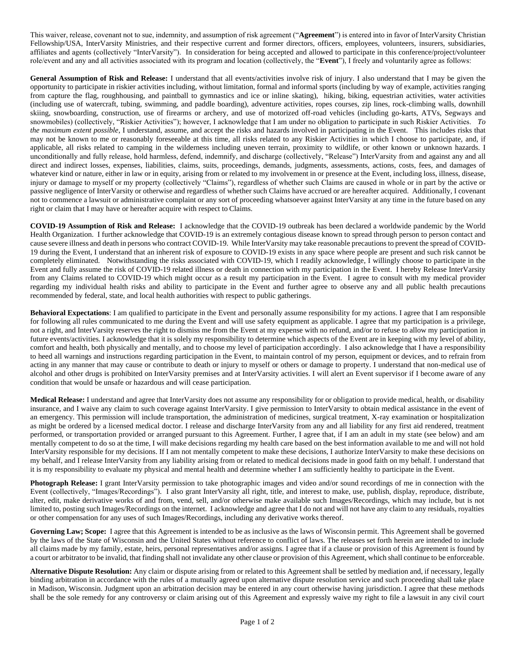This waiver, release, covenant not to sue, indemnity, and assumption of risk agreement ("**Agreement**") is entered into in favor of InterVarsity Christian Fellowship/USA, InterVarsity Ministries, and their respective current and former directors, officers, employees, volunteers, insurers, subsidiaries, affiliates and agents (collectively "InterVarsity"). In consideration for being accepted and allowed to participate in this conference/project/volunteer role/event and any and all activities associated with its program and location (collectively, the "**Event**"), I freely and voluntarily agree as follows:

**General Assumption of Risk and Release:** I understand that all events/activities involve risk of injury. I also understand that I may be given the opportunity to participate in riskier activities including, without limitation, formal and informal sports (including by way of example, activities ranging from capture the flag, roughhousing, and paintball to gymnastics and ice or inline skating), hiking, biking, equestrian activities, water activities (including use of watercraft, tubing, swimming, and paddle boarding), adventure activities, ropes courses, zip lines, rock-climbing walls, downhill skiing, snowboarding, construction, use of firearms or archery, and use of motorized off-road vehicles (including go-karts, ATVs, Segways and snowmobiles) (collectively, "Riskier Activities"); however, I acknowledge that I am under no obligation to participate in such Riskier Activities. *To the maximum extent possible*, I understand, assume, and accept the risks and hazards involved in participating in the Event. This includes risks that may not be known to me or reasonably foreseeable at this time, all risks related to any Riskier Activities in which I choose to participate, and, if applicable, all risks related to camping in the wilderness including uneven terrain, proximity to wildlife, or other known or unknown hazards. I unconditionally and fully release, hold harmless, defend, indemnify, and discharge (collectively, "Release") InterVarsity from and against any and all direct and indirect losses, expenses, liabilities, claims, suits, proceedings, demands, judgments, assessments, actions, costs, fees, and damages of whatever kind or nature, either in law or in equity, arising from or related to my involvement in or presence at the Event, including loss, illness, disease, injury or damage to myself or my property (collectively "Claims"), regardless of whether such Claims are caused in whole or in part by the active or passive negligence of InterVarsity or otherwise and regardless of whether such Claims have accrued or are hereafter acquired. Additionally, I covenant not to commence a lawsuit or administrative complaint or any sort of proceeding whatsoever against InterVarsity at any time in the future based on any right or claim that I may have or hereafter acquire with respect to Claims.

**COVID-19 Assumption of Risk and Release:** I acknowledge that the COVID-19 outbreak has been declared a worldwide pandemic by the World Health Organization. I further acknowledge that COVID-19 is an extremely contagious disease known to spread through person to person contact and cause severe illness and death in persons who contract COVID-19. While InterVarsity may take reasonable precautions to prevent the spread of COVID-19 during the Event, I understand that an inherent risk of exposure to COVID-19 exists in any space where people are present and such risk cannot be completely eliminated. Notwithstanding the risks associated with COVID-19, which I readily acknowledge, I willingly choose to participate in the Event and fully assume the risk of COVID-19 related illness or death in connection with my participation in the Event. I hereby Release InterVarsity from any Claims related to COVID-19 which might occur as a result my participation in the Event. I agree to consult with my medical provider regarding my individual health risks and ability to participate in the Event and further agree to observe any and all public health precautions recommended by federal, state, and local health authorities with respect to public gatherings.

**Behavioral Expectations**: I am qualified to participate in the Event and personally assume responsibility for my actions. I agree that I am responsible for following all rules communicated to me during the Event and will use safety equipment as applicable. I agree that my participation is a privilege, not a right, and InterVarsity reserves the right to dismiss me from the Event at my expense with no refund, and/or to refuse to allow my participation in future events/activities. I acknowledge that it is solely my responsibility to determine which aspects of the Event are in keeping with my level of ability, comfort and health, both physically and mentally, and to choose my level of participation accordingly. I also acknowledge that I have a responsibility to heed all warnings and instructions regarding participation in the Event, to maintain control of my person, equipment or devices, and to refrain from acting in any manner that may cause or contribute to death or injury to myself or others or damage to property. I understand that non-medical use of alcohol and other drugs is prohibited on InterVarsity premises and at InterVarsity activities. I will alert an Event supervisor if I become aware of any condition that would be unsafe or hazardous and will cease participation.

**Medical Release:** I understand and agree that InterVarsity does not assume any responsibility for or obligation to provide medical, health, or disability insurance, and I waive any claim to such coverage against InterVarsity. I give permission to InterVarsity to obtain medical assistance in the event of an emergency. This permission will include transportation, the administration of medicines, surgical treatment, X-ray examination or hospitalization as might be ordered by a licensed medical doctor. I release and discharge InterVarsity from any and all liability for any first aid rendered, treatment performed, or transportation provided or arranged pursuant to this Agreement. Further, I agree that, if I am an adult in my state (see below) and am mentally competent to do so at the time, I will make decisions regarding my health care based on the best information available to me and will not hold InterVarsity responsible for my decisions. If I am not mentally competent to make these decisions, I authorize InterVarsity to make these decisions on my behalf, and I release InterVarsity from any liability arising from or related to medical decisions made in good faith on my behalf. I understand that it is my responsibility to evaluate my physical and mental health and determine whether I am sufficiently healthy to participate in the Event.

**Photograph Release:** I grant InterVarsity permission to take photographic images and video and/or sound recordings of me in connection with the Event (collectively, "Images/Recordings"). I also grant InterVarsity all right, title, and interest to make, use, publish, display, reproduce, distribute, alter, edit, make derivative works of and from, vend, sell, and/or otherwise make available such Images/Recordings, which may include, but is not limited to, posting such Images/Recordings on the internet. I acknowledge and agree that I do not and will not have any claim to any residuals, royalties or other compensation for any uses of such Images/Recordings, including any derivative works thereof.

**Governing Law; Scope:** I agree that this Agreement is intended to be as inclusive as the laws of Wisconsin permit. This Agreement shall be governed by the laws of the State of Wisconsin and the United States without reference to conflict of laws. The releases set forth herein are intended to include all claims made by my family, estate, heirs, personal representatives and/or assigns. I agree that if a clause or provision of this Agreement is found by a court or arbitrator to be invalid, that finding shall not invalidate any other clause or provision of this Agreement, which shall continue to be enforceable.

**Alternative Dispute Resolution:** Any claim or dispute arising from or related to this Agreement shall be settled by mediation and, if necessary, legally binding arbitration in accordance with the rules of a mutually agreed upon alternative dispute resolution service and such proceeding shall take place in Madison, Wisconsin. Judgment upon an arbitration decision may be entered in any court otherwise having jurisdiction. I agree that these methods shall be the sole remedy for any controversy or claim arising out of this Agreement and expressly waive my right to file a lawsuit in any civil court